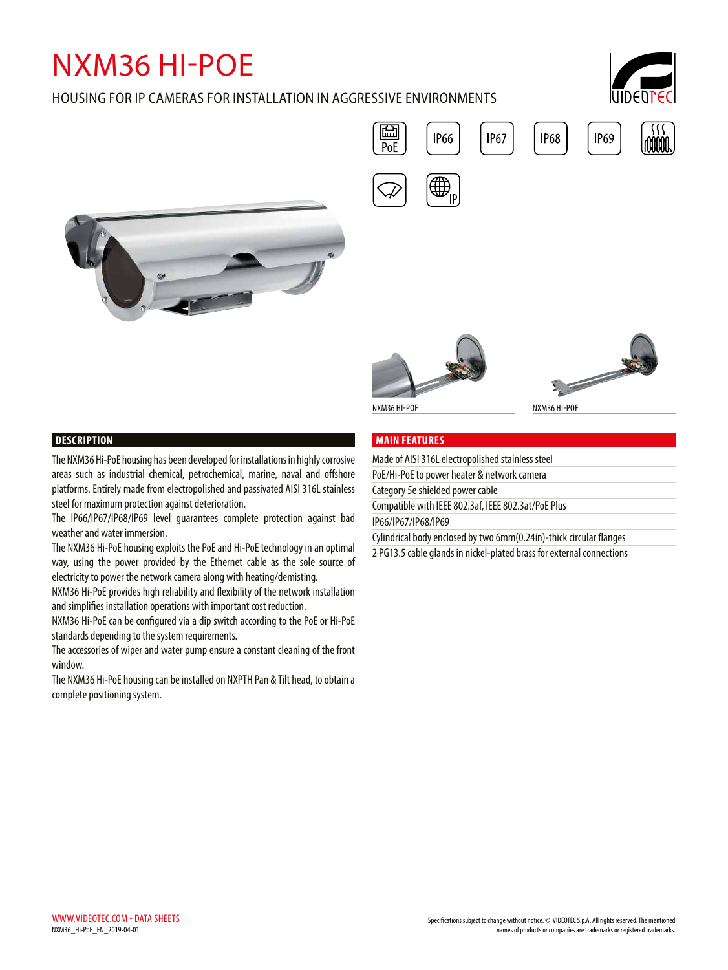# NXM36 HI-POE

## HOUSING FOR IP CAMERAS FOR INSTALLATION IN AGGRESSIVE ENVIRONMENTS









### **MAIN FEATURES**

| Made of AISI 316L electropolished stainless steel                     |  |
|-----------------------------------------------------------------------|--|
| PoE/Hi-PoE to power heater & network camera                           |  |
| Category 5e shielded power cable                                      |  |
| Compatible with IEEE 802.3af, IEEE 802.3at/PoE Plus                   |  |
| IP66/IP67/IP68/IP69                                                   |  |
| Cylindrical body enclosed by two 6mm(0.24in)-thick circular flanges   |  |
| 2 PG13.5 cable glands in nickel-plated brass for external connections |  |
|                                                                       |  |



The NXM36 Hi-PoE housing has been developed for installations in highly corrosive areas such as industrial chemical, petrochemical, marine, naval and offshore platforms. Entirely made from electropolished and passivated AISI 316L stainless steel for maximum protection against deterioration.

The IP66/IP67/IP68/IP69 level guarantees complete protection against bad weather and water immersion.

The NXM36 Hi-PoE housing exploits the PoE and Hi-PoE technology in an optimal way, using the power provided by the Ethernet cable as the sole source of electricity to power the network camera along with heating/demisting.

NXM36 Hi-PoE provides high reliability and flexibility of the network installation and simplifies installation operations with important cost reduction.

NXM36 Hi-PoE can be configured via a dip switch according to the PoE or Hi-PoE standards depending to the system requirements.

The accessories of wiper and water pump ensure a constant cleaning of the front window.

The NXM36 Hi-PoE housing can be installed on NXPTH Pan & Tilt head, to obtain a complete positioning system.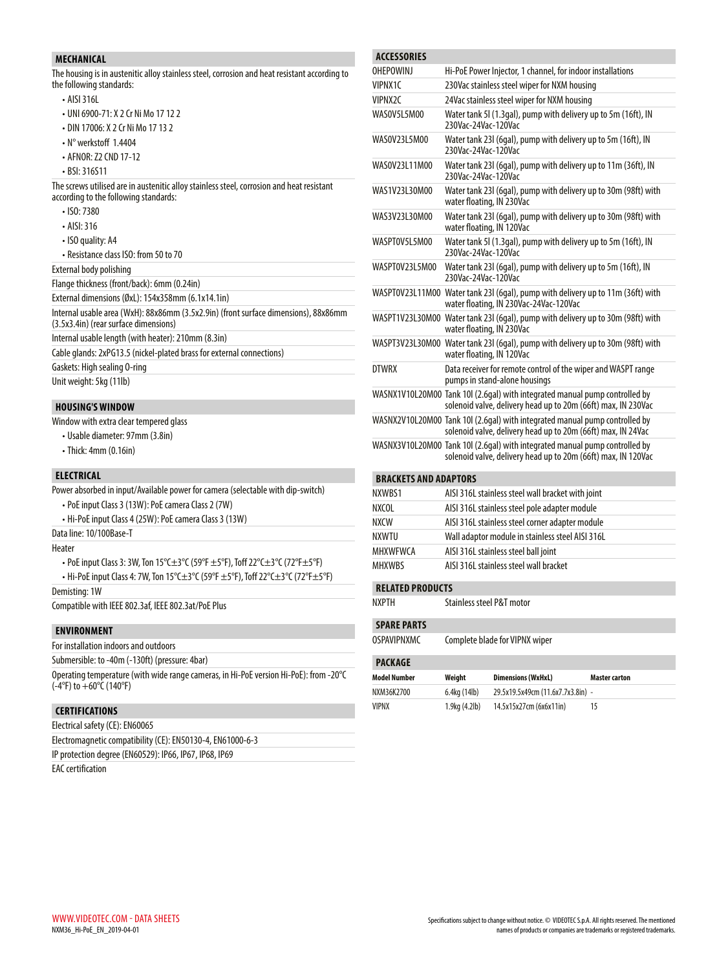#### **MECHANICAL**

The housing is in austenitic alloy stainless steel, corrosion and heat resistant according to the following standards:

- AISI 316L
- UNI 6900-71: X 2 Cr Ni Mo 17 12 2
- DIN 17006: X 2 Cr Ni Mo 17 13 2
- N° werkstoff 1.4404
- AFNOR: Z2 CND 17-12
- BSI: 316S11

The screws utilised are in austenitic alloy stainless steel, corrosion and heat resistant according to the following standards:

- ISO: 7380
- AISI: 316
- ISO quality: A4
- Resistance class ISO: from 50 to 70

External body polishing

Flange thickness (front/back): 6mm (0.24in)

External dimensions (ØxL): 154x358mm (6.1x14.1in)

- Internal usable area (WxH): 88x86mm (3.5x2.9in) (front surface dimensions), 88x86mm (3.5x3.4in) (rear surface dimensions)
- Internal usable length (with heater): 210mm (8.3in)
- Cable glands: 2xPG13.5 (nickel-plated brass for external connections)

Gaskets: High sealing O-ring

Unit weight: 5kg (11lb)

#### **HOUSING'S WINDOW**

- Window with extra clear tempered glass
	- Usable diameter: 97mm (3.8in)
	- Thick: 4mm (0.16in)

#### **ELECTRICAL**

Power absorbed in input/Available power for camera (selectable with dip-switch)

- PoE input Class 3 (13W): PoE camera Class 2 (7W)
- Hi-PoE input Class 4 (25W): PoE camera Class 3 (13W)

Data line: 10/100Base-T

Heater

- PoE input Class 3: 3W, Ton 15°C±3°C (59°F ±5°F), Toff 22°C±3°C (72°F±5°F)
- Hi-PoE input Class 4: 7W, Ton 15°C±3°C (59°F ±5°F), Toff 22°C±3°C (72°F±5°F)

Demisting: 1W

Compatible with IEEE 802.3af, IEEE 802.3at/PoE Plus

#### **ENVIRONMENT**

For installation indoors and outdoors

Submersible: to -40m (-130ft) (pressure: 4bar)

Operating temperature (with wide range cameras, in Hi-PoE version Hi-PoE): from -20°C (-4°F) to +60°C (140°F)

#### **CERTIFICATIONS**

Electrical safety (CE): EN60065

Electromagnetic compatibility (CE): EN50130-4, EN61000-6-3

IP protection degree (EN60529): IP66, IP67, IP68, IP69

EAC certification

| <b>ACCESSORIES</b>           |                                                                                                                                              |  |  |  |
|------------------------------|----------------------------------------------------------------------------------------------------------------------------------------------|--|--|--|
| <b>OHFPOWINI</b>             | Hi-PoE Power Injector, 1 channel, for indoor installations                                                                                   |  |  |  |
| VIPNX1C                      | 230Vac stainless steel wiper for NXM housing                                                                                                 |  |  |  |
| VIPNX2C                      | 24Vac stainless steel wiper for NXM housing                                                                                                  |  |  |  |
| WAS0V5L5M00                  | Water tank 5I (1.3gal), pump with delivery up to 5m (16ft), IN<br>230Vac-24Vac-120Vac                                                        |  |  |  |
| WAS0V23L5M00                 | Water tank 23I (6gal), pump with delivery up to 5m (16ft), IN<br>230Vac-24Vac-120Vac                                                         |  |  |  |
| WAS0V23L11M00                | Water tank 23I (6gal), pump with delivery up to 11m (36ft), IN<br>230Vac-24Vac-120Vac                                                        |  |  |  |
| WAS1V23L30M00                | Water tank 23I (6qal), pump with delivery up to 30m (98ft) with<br>water floating, IN 230Vac                                                 |  |  |  |
| WAS3V23L30M00                | Water tank 23I (6gal), pump with delivery up to 30m (98ft) with<br>water floating, IN 120Vac                                                 |  |  |  |
| WASPTOV5L5M00                | Water tank 5I (1.3gal), pump with delivery up to 5m (16ft), IN<br>230Vac-24Vac-120Vac                                                        |  |  |  |
| WASPT0V23L5M00               | Water tank 23I (6gal), pump with delivery up to 5m (16ft), IN<br>230Vac-24Vac-120Vac                                                         |  |  |  |
|                              | WASPT0V23L11M00 Water tank 23l (6gal), pump with delivery up to 11m (36ft) with<br>water floating, IN 230Vac-24Vac-120Vac                    |  |  |  |
|                              | WASPT1V23L30M00 Water tank 23I (6gal), pump with delivery up to 30m (98ft) with<br>water floating, IN 230Vac                                 |  |  |  |
|                              | WASPT3V23L30M00 Water tank 23l (6gal), pump with delivery up to 30m (98ft) with<br>water floating, IN 120Vac                                 |  |  |  |
| <b>DTWRX</b>                 | Data receiver for remote control of the wiper and WASPT range<br>pumps in stand-alone housings                                               |  |  |  |
|                              | WASNX1V10L20M00 Tank 10I (2.6gal) with integrated manual pump controlled by<br>solenoid valve, delivery head up to 20m (66ft) max, IN 230Vac |  |  |  |
|                              | WASNX2V10L20M00 Tank 10I (2.6gal) with integrated manual pump controlled by<br>solenoid valve, delivery head up to 20m (66ft) max, IN 24Vac  |  |  |  |
|                              | WASNX3V10L20M00 Tank 10I (2.6gal) with integrated manual pump controlled by<br>solenoid valve, delivery head up to 20m (66ft) max, IN 120Vac |  |  |  |
| <b>BRACKETS AND ADAPTORS</b> |                                                                                                                                              |  |  |  |
| NXWRS1                       | AISI 316L stainless steel wall bracket with joint                                                                                            |  |  |  |
| <b>NXCOL</b>                 | AISI 316L stainless steel pole adapter module                                                                                                |  |  |  |

| <b>IVA VV DJ I</b> | שוויטן וואסטוע וואס איז די דער געוווואס בער ונכוח |
|--------------------|---------------------------------------------------|
| <b>NXCOL</b>       | AISI 316L stainless steel pole adapter module     |
| <b>NXCW</b>        | AISI 316L stainless steel corner adapter module   |
| NXWTU              | Wall adaptor module in stainless steel AISI 316L  |
| <b>MHXWFWCA</b>    | AISI 316L stainless steel ball joint              |
| <b>MHXWBS</b>      | AISI 316L stainless steel wall bracket            |

#### **RELATED PRODUCTS**

NXPTH Stainless steel P&T motor

#### **SPARE PARTS**

OSPAVIPNXMC Complete blade for VIPNX wiper

#### **PACKAGE**

| <b>Model Number</b> | Weiaht              | <b>Dimensions (WxHxL)</b>         | <b>Master carton</b> |  |  |
|---------------------|---------------------|-----------------------------------|----------------------|--|--|
| NXM36K2700          | 6.4kg (14lb)        | 29.5x19.5x49cm (11.6x7.7x3.8in) - |                      |  |  |
| <b>VIPNX</b>        | $1.9$ kg $(4.2$ lb) | 14.5x15x27cm (6x6x11in)           | 15                   |  |  |